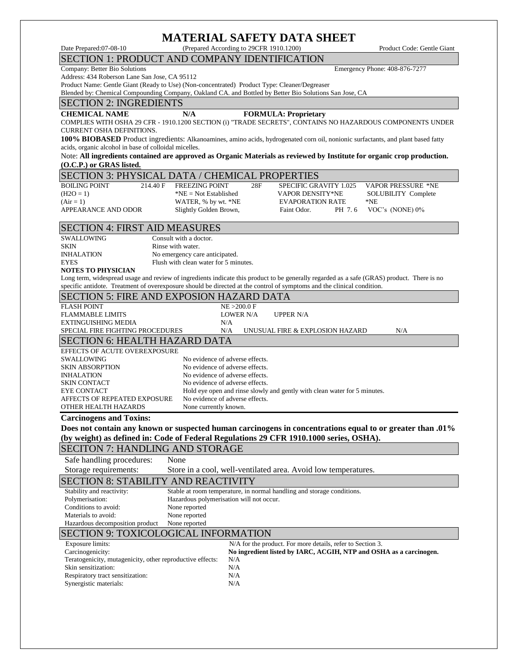# **MATERIAL SAFETY DATA SHEET**

Date Prepared:07-08-10 (Prepared According to 29CFR 1910.1200) Product Code: Gentle Giant

### SECTION 1: PRODUCT AND COMPANY IDENTIFICATION

Company: Better Bio Solutions Emergency Phone: 408-876-7277

Address: 434 Roberson Lane San Jose, CA 95112

Product Name: Gentle Giant (Ready to Use) (Non-concentrated) Product Type: Cleaner/Degreaser

Blended by: Chemical Compounding Company, Oakland CA. and Bottled by Better Bio Solutions San Jose, CA

### SECTION 2: INGREDIENTS

#### **CHEMICAL NAME N/A FORMULA: Proprietary**

COMPLIES WITH OSHA 29 CFR - 1910.1200 SECTION (i) "TRADE SECRETS", CONTAINS NO HAZARDOUS COMPONENTS UNDER CURRENT OSHA DEFINITIONS.

100% BIOBASED Product ingredients: Alkanoamines, amino acids, hydrogenated corn oil, nonionic surfactants, and plant based fatty acids, organic alcohol in base of colloidal micelles.

Note: **All ingredients contained are approved as Organic Materials as reviewed by Institute for organic crop production. (O.C.P.) or GRAS listed.**

#### SECTION 3: PHYSICAL DATA / CHEMICAL PROPERTIES

BOILING POINT 214.40 F FREEZING POINT 28F SPECIFIC GRAVITY 1.025 VAPOR PRESSURE \*NE  $(H2O = 1)$  \*NE = Not Established VAPOR DENSITY \*NE SOLUBILITY Complete (Air = 1) WATER, % by wt. \*NE EVAPORATION RATE \*NE

APPEARANCE AND ODOR Slightly Golden Brown, Faint Odor. PH 7.6 VOC's (NONE) 0%

# SECTION 4: FIRST AID MEASURES

SWALLOWING Consult with a doctor. SKIN Rinse with water. INHALATION No emergency care anticipated. EYES Flush with clean water for 5 minutes.

#### **NOTES TO PHYSICIAN**

Long term, widespread usage and review of ingredients indicate this product to be generally regarded as a safe (GRAS) product. There is no specific antidote. Treatment of overexposure should be directed at the control of symptoms and the clinical condition.

#### SECTION 5: FIRE AND EXPOSION HAZARD DATA FLASH POINT NE >200.0 F FLAMMABLE LIMITS **LOWER N/A** UPPER N/A EXTINGUISHING MEDIA N/A SPECIAL FIRE FIGHTING PROCEDURES N/A UNUSUAL FIRE & EXPLOSION HAZARD N/A SECTION 6: HEALTH HAZARD DATA EFFECTS OF ACUTE OVEREXPOSURE SWALLOWING No evidence of adverse effects. SKIN ABSORPTION No evidence of adverse effects.<br>
No evidence of adverse effects. No evidence of adverse effects. SKIN CONTACT No evidence of adverse effects. EYE CONTACT Hold eye open and rinse slowly and gently with clean water for 5 minutes. AFFECTS OF REPEATED EXPOSURE No evidence of adverse effects. OTHER HEALTH HAZARDS None currently known. **Carcinogens and Toxins: Does not contain any known or suspected human carcinogens in concentrations equal to or greater than .01% (by weight) as defined in: Code of Federal Regulations 29 CFR 1910.1000 series, OSHA).**  SECITON 7: HANDLING AND STORAGE Safe handling procedures: None Storage requirements: Store in a cool, well-ventilated area. Avoid low temperatures. SECTION 8: STABILITY AND REACTIVITY Stability and reactivity: Stable at room temperature, in normal handling and storage conditions. Polymerisation: Hazardous polymerisation will not occur. Conditions to avoid: None reported Materials to avoid: None reported Hazardous decomposition product None reported SECTION 9: TOXICOLOGICAL INFORMATION

| Exposure limits:                                          | N/A for the product. For more details, refer to Section 3.         |
|-----------------------------------------------------------|--------------------------------------------------------------------|
| Carcinogenicity:                                          | No ingredient listed by IARC, ACGIH, NTP and OSHA as a carcinogen. |
| Teratogenicity, mutagenicity, other reproductive effects: | N/A                                                                |
| Skin sensitization:                                       | N/A                                                                |
| Respiratory tract sensitization:                          | N/A                                                                |
| Synergistic materials:                                    | N/A                                                                |